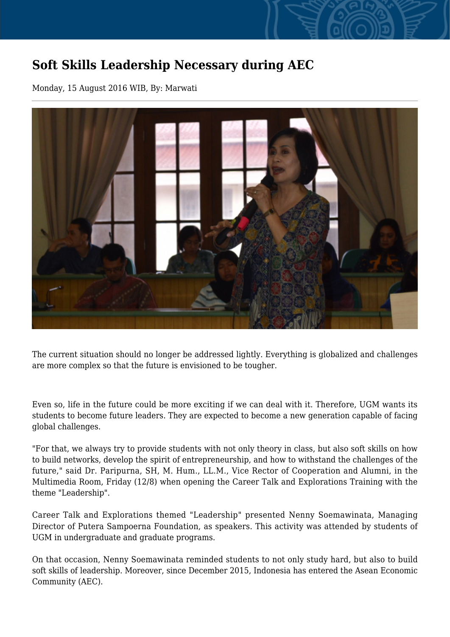## **Soft Skills Leadership Necessary during AEC**

Monday, 15 August 2016 WIB, By: Marwati



The current situation should no longer be addressed lightly. Everything is globalized and challenges are more complex so that the future is envisioned to be tougher.

Even so, life in the future could be more exciting if we can deal with it. Therefore, UGM wants its students to become future leaders. They are expected to become a new generation capable of facing global challenges.

"For that, we always try to provide students with not only theory in class, but also soft skills on how to build networks, develop the spirit of entrepreneurship, and how to withstand the challenges of the future," said Dr. Paripurna, SH, M. Hum., LL.M., Vice Rector of Cooperation and Alumni, in the Multimedia Room, Friday (12/8) when opening the Career Talk and Explorations Training with the theme "Leadership".

Career Talk and Explorations themed "Leadership" presented Nenny Soemawinata, Managing Director of Putera Sampoerna Foundation, as speakers. This activity was attended by students of UGM in undergraduate and graduate programs.

On that occasion, Nenny Soemawinata reminded students to not only study hard, but also to build soft skills of leadership. Moreover, since December 2015, Indonesia has entered the Asean Economic Community (AEC).